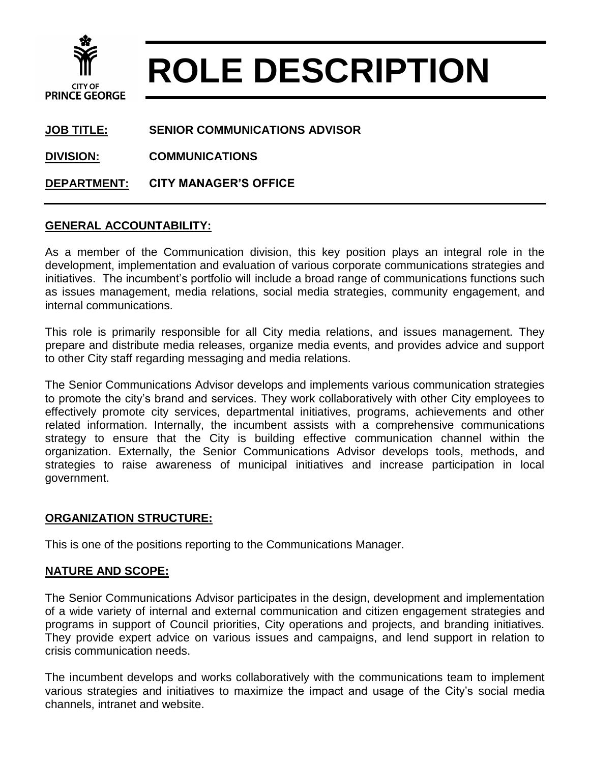

# **ROLE DESCRIPTION**

**JOB TITLE: SENIOR COMMUNICATIONS ADVISOR**

**DIVISION: COMMUNICATIONS**

**DEPARTMENT: CITY MANAGER'S OFFICE**

#### **GENERAL ACCOUNTABILITY:**

As a member of the Communication division, this key position plays an integral role in the development, implementation and evaluation of various corporate communications strategies and initiatives. The incumbent's portfolio will include a broad range of communications functions such as issues management, media relations, social media strategies, community engagement, and internal communications.

This role is primarily responsible for all City media relations, and issues management. They prepare and distribute media releases, organize media events, and provides advice and support to other City staff regarding messaging and media relations.

The Senior Communications Advisor develops and implements various communication strategies to promote the city's brand and services. They work collaboratively with other City employees to effectively promote city services, departmental initiatives, programs, achievements and other related information. Internally, the incumbent assists with a comprehensive communications strategy to ensure that the City is building effective communication channel within the organization. Externally, the Senior Communications Advisor develops tools, methods, and strategies to raise awareness of municipal initiatives and increase participation in local government.

#### **ORGANIZATION STRUCTURE:**

This is one of the positions reporting to the Communications Manager.

## **NATURE AND SCOPE:**

The Senior Communications Advisor participates in the design, development and implementation of a wide variety of internal and external communication and citizen engagement strategies and programs in support of Council priorities, City operations and projects, and branding initiatives. They provide expert advice on various issues and campaigns, and lend support in relation to crisis communication needs.

The incumbent develops and works collaboratively with the communications team to implement various strategies and initiatives to maximize the impact and usage of the City's social media channels, intranet and website.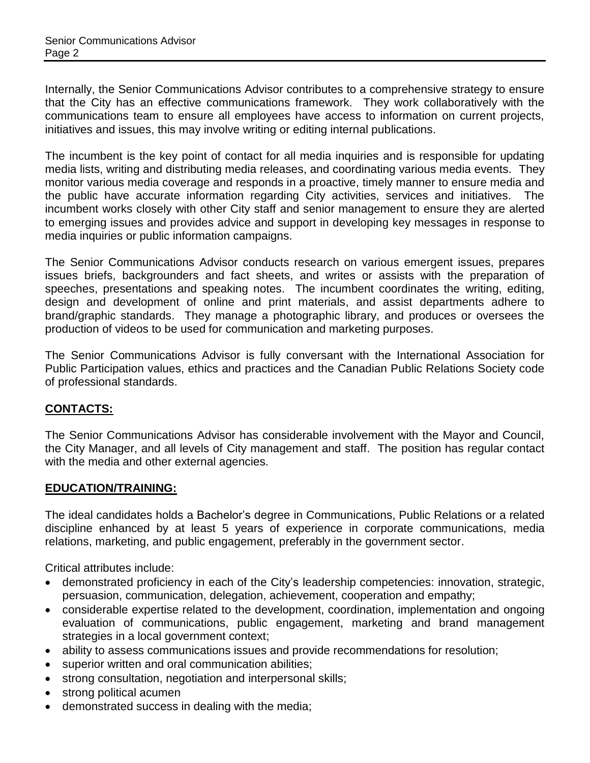Internally, the Senior Communications Advisor contributes to a comprehensive strategy to ensure that the City has an effective communications framework. They work collaboratively with the communications team to ensure all employees have access to information on current projects, initiatives and issues, this may involve writing or editing internal publications.

The incumbent is the key point of contact for all media inquiries and is responsible for updating media lists, writing and distributing media releases, and coordinating various media events. They monitor various media coverage and responds in a proactive, timely manner to ensure media and the public have accurate information regarding City activities, services and initiatives. The incumbent works closely with other City staff and senior management to ensure they are alerted to emerging issues and provides advice and support in developing key messages in response to media inquiries or public information campaigns.

The Senior Communications Advisor conducts research on various emergent issues, prepares issues briefs, backgrounders and fact sheets, and writes or assists with the preparation of speeches, presentations and speaking notes. The incumbent coordinates the writing, editing, design and development of online and print materials, and assist departments adhere to brand/graphic standards. They manage a photographic library, and produces or oversees the production of videos to be used for communication and marketing purposes.

The Senior Communications Advisor is fully conversant with the International Association for Public Participation values, ethics and practices and the Canadian Public Relations Society code of professional standards.

## **CONTACTS:**

The Senior Communications Advisor has considerable involvement with the Mayor and Council, the City Manager, and all levels of City management and staff. The position has regular contact with the media and other external agencies.

## **EDUCATION/TRAINING:**

The ideal candidates holds a Bachelor's degree in Communications, Public Relations or a related discipline enhanced by at least 5 years of experience in corporate communications, media relations, marketing, and public engagement, preferably in the government sector.

Critical attributes include:

- demonstrated proficiency in each of the City's leadership competencies: innovation, strategic, persuasion, communication, delegation, achievement, cooperation and empathy;
- considerable expertise related to the development, coordination, implementation and ongoing evaluation of communications, public engagement, marketing and brand management strategies in a local government context;
- ability to assess communications issues and provide recommendations for resolution;
- superior written and oral communication abilities;
- strong consultation, negotiation and interpersonal skills;
- strong political acumen
- demonstrated success in dealing with the media;